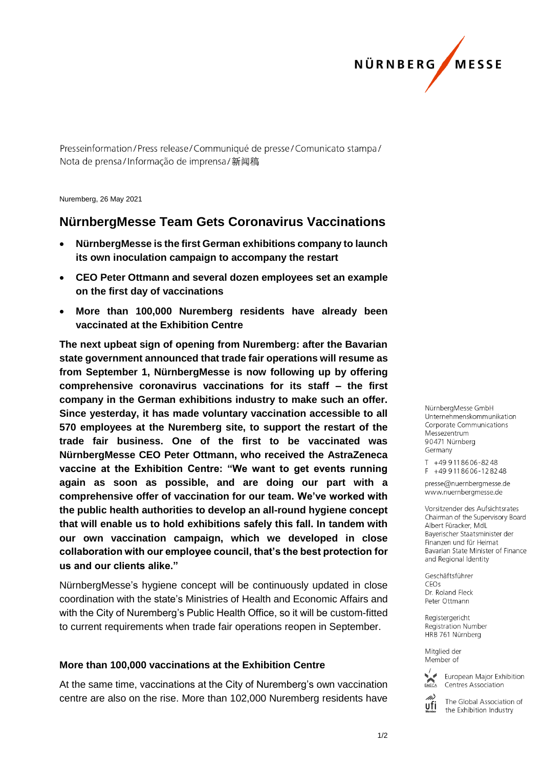

Presseinformation/Press release/Communiqué de presse/Comunicato stampa/ Nota de prensa/Informação de imprensa/新闻稿

Nuremberg, 26 May 2021

## **NürnbergMesse Team Gets Coronavirus Vaccinations**

- **NürnbergMesse is the first German exhibitions company to launch its own inoculation campaign to accompany the restart**
- **CEO Peter Ottmann and several dozen employees set an example on the first day of vaccinations**
- **More than 100,000 Nuremberg residents have already been vaccinated at the Exhibition Centre**

**The next upbeat sign of opening from Nuremberg: after the Bavarian state government announced that trade fair operations will resume as from September 1, NürnbergMesse is now following up by offering comprehensive coronavirus vaccinations for its staff – the first company in the German exhibitions industry to make such an offer. Since yesterday, it has made voluntary vaccination accessible to all 570 employees at the Nuremberg site, to support the restart of the trade fair business. One of the first to be vaccinated was NürnbergMesse CEO Peter Ottmann, who received the AstraZeneca vaccine at the Exhibition Centre: "We want to get events running again as soon as possible, and are doing our part with a comprehensive offer of vaccination for our team. We've worked with the public health authorities to develop an all-round hygiene concept that will enable us to hold exhibitions safely this fall. In tandem with our own vaccination campaign, which we developed in close collaboration with our employee council, that's the best protection for us and our clients alike."**

NürnbergMesse's hygiene concept will be continuously updated in close coordination with the state's Ministries of Health and Economic Affairs and with the City of Nuremberg's Public Health Office, so it will be custom-fitted to current requirements when trade fair operations reopen in September.

## **More than 100,000 vaccinations at the Exhibition Centre**

At the same time, vaccinations at the City of Nuremberg's own vaccination centre are also on the rise. More than 102,000 Nuremberg residents have

NürnberaMesse GmbH Unternehmenskommunikation Corporate Communications Messezentrum 90471 Nürnberg Germany

T +49 911 86 06 - 82 48  $F + 499118606 - 128248$ 

presse@nuernbergmesse.de www.nuernbergmesse.de

Vorsitzender des Aufsichtsrates Chairman of the Supervisory Board Albert Füracker, MdL Bayerischer Staatsminister der Finanzen und für Heimat Bavarian State Minister of Finance and Regional Identity

Geschäftsführer  $CFOs$ Dr. Roland Fleck Peter Ottmann

Registergericht Registration Number HRB 761 Nürnberg

Mitglied der Member of



European Major Exhibition Centres Association



The Global Association of the Exhibition Industry